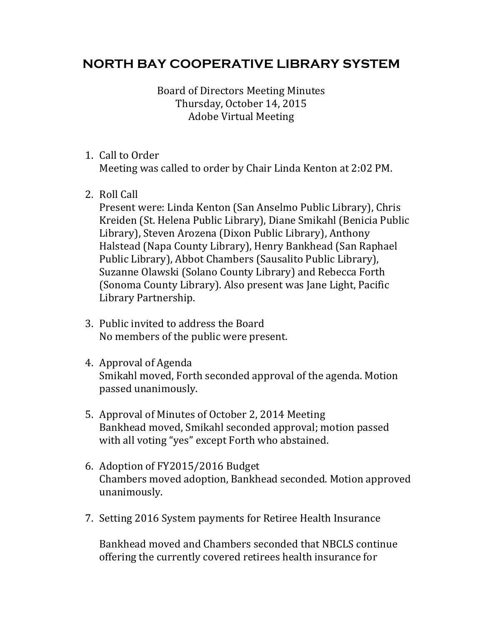## **NORTH BAY COOPERATIVE LIBRARY SYSTEM**

Board of Directors Meeting Minutes Thursday, October 14, 2015 Adobe Virtual Meeting 

- 1. Call to Order Meeting was called to order by Chair Linda Kenton at 2:02 PM.
- 2. Roll Call

Present were: Linda Kenton (San Anselmo Public Library), Chris Kreiden (St. Helena Public Library), Diane Smikahl (Benicia Public Library), Steven Arozena (Dixon Public Library), Anthony Halstead (Napa County Library), Henry Bankhead (San Raphael Public Library), Abbot Chambers (Sausalito Public Library), Suzanne Olawski (Solano County Library) and Rebecca Forth (Sonoma County Library). Also present was Jane Light, Pacific Library Partnership. 

- 3. Public invited to address the Board No members of the public were present.
- 4. Approval of Agenda Smikahl moved, Forth seconded approval of the agenda. Motion passed unanimously.
- 5. Approval of Minutes of October 2, 2014 Meeting Bankhead moved, Smikahl seconded approval; motion passed with all voting "yes" except Forth who abstained.
- 6. Adoption of FY2015/2016 Budget Chambers moved adoption, Bankhead seconded. Motion approved unanimously.
- 7. Setting 2016 System payments for Retiree Health Insurance

Bankhead moved and Chambers seconded that NBCLS continue offering the currently covered retirees health insurance for